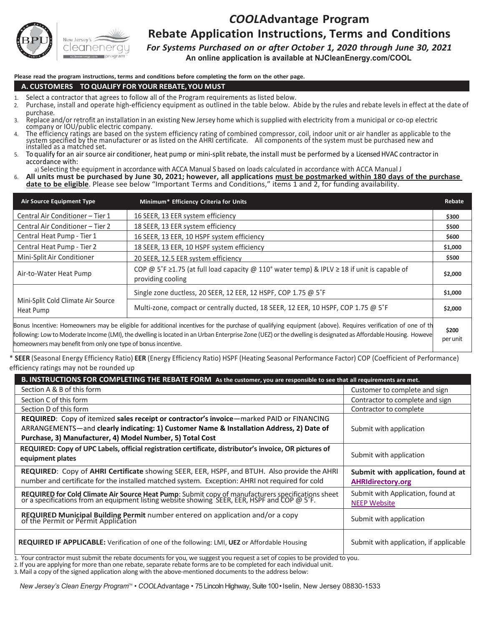

#### *COOL***Advantage Program Rebate Application Instructions, Terms and Conditions**

*For Systems Purchased on or after October 1, 2020 through June 30, 2021* 

**An online application is available at NJCleanEnergy.com/COOL**

**Please read the program instructions, terms and conditions before completing the form on the other page.**

#### **A. CUSTOMERS – TO QUALIFY FOR YOUR REBATE,YOU MUST**

- 
- 1. Select a contractor that agrees to follow all of the Program requirements as listed below.<br>2. Purchase, install and operate high-efficiency equipment as outlined in the table below. Abide by the rules and rebate levels purchase.
- 3. Replace and/or retrofit an installation in an existing New Jersey home which issupplied with electricity from a municipal or co-op electric company or IOU/public electric company.
- 4. The efficiency ratings are based on the system efficiency rating of combined compressor, coil, indoor unit or air handler as applicable to the system specified by the manufacturer or as listed on the AHRI certificate. A
- accordance with:
- a) Selecting the equipment in accordance with ACCA Manual S based on loads calculated in accordance with ACCA Manual J

6. All units must be purchased by June 30, 2021; however, all applications must be postmarked within 180 days of the purchase **date to be eligible**. Please see below "Important Terms and Conditions," items 1 and 2, for funding availability.

| <b>Air Source Equipment Type</b>                | Minimum* Efficiency Criteria for Units                                                                                                                                                                                                                                                                                        | Rebate            |
|-------------------------------------------------|-------------------------------------------------------------------------------------------------------------------------------------------------------------------------------------------------------------------------------------------------------------------------------------------------------------------------------|-------------------|
| Central Air Conditioner - Tier 1                | 16 SEER, 13 EER system efficiency                                                                                                                                                                                                                                                                                             | \$300             |
| Central Air Conditioner - Tier 2                | 18 SEER, 13 EER system efficiency                                                                                                                                                                                                                                                                                             | \$500             |
| Central Heat Pump - Tier 1                      | 16 SEER, 13 EER, 10 HSPF system efficiency                                                                                                                                                                                                                                                                                    | \$600             |
| Central Heat Pump - Tier 2                      | 18 SEER, 13 EER, 10 HSPF system efficiency                                                                                                                                                                                                                                                                                    | \$1,000           |
| Mini-Split Air Conditioner                      | 20 SEER, 12.5 EER system efficiency                                                                                                                                                                                                                                                                                           | \$500             |
| Air-to-Water Heat Pump                          | COP @ 5°F ≥1.75 (at full load capacity @ 110° water temp) & IPLV ≥ 18 if unit is capable of<br>providing cooling                                                                                                                                                                                                              | \$2,000           |
|                                                 | Single zone ductless, 20 SEER, 12 EER, 12 HSPF, COP 1.75 @ 5°F                                                                                                                                                                                                                                                                | \$1,000           |
| Mini-Split Cold Climate Air Source<br>Heat Pump | Multi-zone, compact or centrally ducted, 18 SEER, 12 EER, 10 HSPF, COP 1.75 @ 5°F                                                                                                                                                                                                                                             | \$2,000           |
|                                                 | Bonus Incentive: Homeowners may be eligible for additional incentives for the purchase of qualifying equipment (above). Requires verification of one of th<br>frollowing: Low to Moderate Income (LMI), the dwelling is located in an Urban Enterprise Zone (UEZ) or the dwelling is designated as Affordable Housing. Howeve | \$200<br>per unit |

homeowners may benefit from only one type of bonus incentive.

\* **SEER** (Seasonal Energy Efficiency Ratio) **EER** (Energy Efficiency Ratio) HSPF (Heating Seasonal Performance Factor) COP (Coefficient of Performance) efficiency ratings may not be rounded up

| B. INSTRUCTIONS FOR COMPLETING THE REBATE FORM As the customer, you are responsible to see that all requirements are met.                                                                            |                                                               |  |  |
|------------------------------------------------------------------------------------------------------------------------------------------------------------------------------------------------------|---------------------------------------------------------------|--|--|
| Section A & B of this form                                                                                                                                                                           | Customer to complete and sign                                 |  |  |
| Section C of this form                                                                                                                                                                               | Contractor to complete and sign                               |  |  |
| Section D of this form                                                                                                                                                                               | Contractor to complete                                        |  |  |
| REQUIRED: Copy of itemized sales receipt or contractor's invoice-marked PAID or FINANCING                                                                                                            |                                                               |  |  |
| ARRANGEMENTS-and clearly indicating: 1) Customer Name & Installation Address, 2) Date of                                                                                                             | Submit with application                                       |  |  |
| Purchase, 3) Manufacturer, 4) Model Number, 5) Total Cost                                                                                                                                            |                                                               |  |  |
| REQUIRED: Copy of UPC Labels, official registration certificate, distributor's invoice, OR pictures of<br>equipment plates                                                                           | Submit with application                                       |  |  |
|                                                                                                                                                                                                      |                                                               |  |  |
| <b>REQUIRED:</b> Copy of AHRI Certificate showing SEER, EER, HSPF, and BTUH. Also provide the AHRI<br>number and certificate for the installed matched system. Exception: AHRI not required for cold | Submit with application, found at<br><b>AHRIdirectory.org</b> |  |  |
| REQUIRED for Cold Climate Air Source Heat Pump: Submit copy of manufacturers specifications sheet or a specifications from an equipment listing website showing SEER, EER, HSPF and COP @ 5°F.       | Submit with Application, found at<br><b>NEEP Website</b>      |  |  |
| REQUIRED Municipal Building Permit number entered on application and/or a copy of the Permit or Permit Application                                                                                   | Submit with application                                       |  |  |

1. Your contractor must submit the rebate documents for you, we suggest you request a set of copies to be provided to you.<br>2. If you are applying for more than one rebate, separate rebate forms are to be completed for each

3. Mail a copy of the signed application along with the above-mentioned documents to the address below:

*New Jersey's Clean Energy Program™ • COOLAdvantage • 75 Lincoln Highway, Suite 100 • Iselin, New Jersey 08830-1533*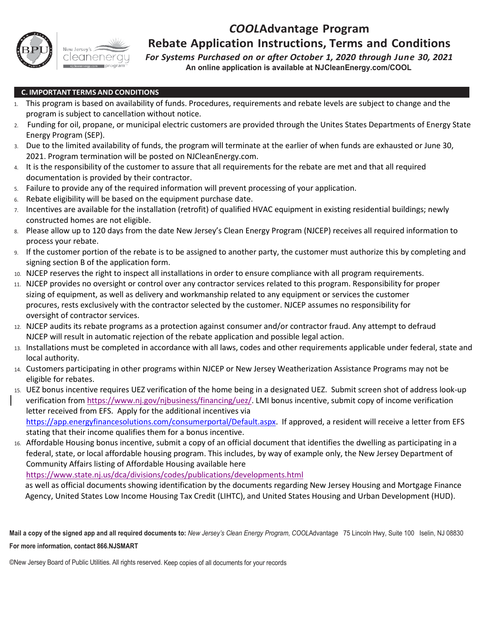

## *COOL***Advantage Program**

#### **Rebate Application Instructions, Terms and Conditions**

*For Systems Purchased on or after October 1, 2020 through June 30, 2021* **An online application is available at NJCleanEnergy.com/COOL**

#### **C. IMPORTANT TERMS AND CONDITIONS**

- 1. This program is based on availability of funds. Procedures, requirements and rebate levels are subject to change and the program is subject to cancellation without notice.
- 2. Funding for oil, propane, or municipal electric customers are provided through the Unites States Departments of Energy State Energy Program (SEP).
- 3. Due to the limited availability of funds, the program will terminate at the earlier of when funds are exhausted or June 30, 2021. Program termination will be posted on NJCleanEnergy.com.
- 4. It is the responsibility of the customer to assure that all requirements for the rebate are met and that all required documentation is provided by their contractor.
- 5. Failure to provide any of the required information will prevent processing of your application.
- 6. Rebate eligibility will be based on the equipment purchase date.
- 7. Incentives are available for the installation (retrofit) of qualified HVAC equipment in existing residential buildings; newly constructed homes are not eligible.
- 8. Please allow up to 120 days from the date New Jersey's Clean Energy Program (NJCEP) receives all required information to process your rebate.
- 9. If the customer portion of the rebate is to be assigned to another party, the customer must authorize this by completing and signing section B of the application form.
- 10. NJCEP reserves the right to inspect all installations in order to ensure compliance with all program requirements.
- 11. NJCEP provides no oversight or control over any contractor services related to this program. Responsibility for proper sizing of equipment, as well as delivery and workmanship related to any equipment or services the customer procures, rests exclusively with the contractor selected by the customer. NJCEP assumes no responsibility for oversight of contractor services.
- 12. NJCEP audits its rebate programs as a protection against consumer and/or contractor fraud. Any attempt to defraud NJCEP will result in automatic rejection of the rebate application and possible legal action.
- 13. Installations must be completed in accordance with all laws, codes and other requirements applicable under federal, state and local authority.
- 14. Customers participating in other programs within NJCEP or New Jersey Weatherization Assistance Programs may not be eligible for rebates.
- 15. UEZ bonus incentive requires UEZ verification of the home being in a designated UEZ. Submit screen shot of address look-up verification from [https://www.nj.gov/njbusiness/financing/uez/.](https://www.nj.gov/njbusiness/financing/uez/) LMI bonus incentive, submit copy of income verification letter received from EFS. Apply for the additional incentives via [https://app.energyfinancesolutions.com/consumerportal/Default.aspx.](https://app.energyfinancesolutions.com/consumerportal/Default.aspx) If approved, a resident will receive a letter from EFS stating that their income qualifies them for a bonus incentive.
- 16. Affordable Housing bonus incentive, submit a copy of an official document that identifies the dwelling as participating in a federal, state, or local affordable housing program. This includes, by way of example only, the New Jersey Department of Community Affairs listing of Affordable Housing available here

<https://www.state.nj.us/dca/divisions/codes/publications/developments.html>

as well as official documents showing identification by the documents regarding New Jersey Housing and Mortgage Finance Agency, United States Low Income Housing Tax Credit (LIHTC), and United States Housing and Urban Development (HUD).

**Mail a copy of the signed app and all required documents to:** *New Jersey's Clean Energy Program*, *COOL*Advantage 75 Lincoln Hwy, Suite 100 Iselin, NJ 08830 **For more information, contact 866.NJSMART**

©New Jersey Board of Public Utilities. All rights reserved. Keep copies of all documents for your records